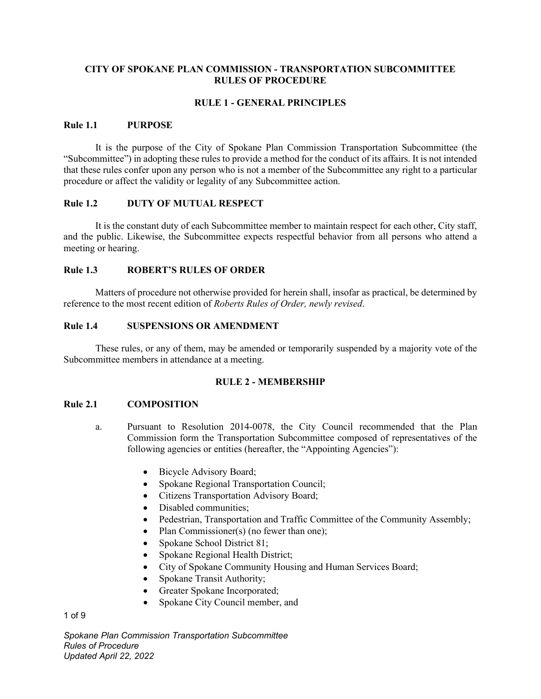# **CITY OF SPOKANE PLAN COMMISSION - TRANSPORTATION SUBCOMMITTEE RULES OF PROCEDURE**

# **RULE 1 - GENERAL PRINCIPLES**

#### **Rule 1.1 PURPOSE**

It is the purpose of the City of Spokane Plan Commission Transportation Subcommittee (the "Subcommittee") in adopting these rules to provide a method for the conduct of its affairs. It is not intended that these rules confer upon any person who is not a member of the Subcommittee any right to a particular procedure or affect the validity or legality of any Subcommittee action.

### **Rule 1.2 DUTY OF MUTUAL RESPECT**

It is the constant duty of each Subcommittee member to maintain respect for each other, City staff, and the public. Likewise, the Subcommittee expects respectful behavior from all persons who attend a meeting or hearing.

### **Rule 1.3 ROBERT'S RULES OF ORDER**

Matters of procedure not otherwise provided for herein shall, insofar as practical, be determined by reference to the most recent edition of *Roberts Rules of Order, newly revised*.

### **Rule 1.4 SUSPENSIONS OR AMENDMENT**

These rules, or any of them, may be amended or temporarily suspended by a majority vote of the Subcommittee members in attendance at a meeting.

#### **RULE 2 - MEMBERSHIP**

### **Rule 2.1 COMPOSITION**

- a. Pursuant to Resolution 2014-0078, the City Council recommended that the Plan Commission form the Transportation Subcommittee composed of representatives of the following agencies or entities (hereafter, the "Appointing Agencies"):
	- Bicycle Advisory Board;
	- Spokane Regional Transportation Council;
	- Citizens Transportation Advisory Board;
	- Disabled communities;
	- Pedestrian, Transportation and Traffic Committee of the Community Assembly;
	- Plan Commissioner(s) (no fewer than one);
	- Spokane School District 81;
	- Spokane Regional Health District;
	- City of Spokane Community Housing and Human Services Board;
	- Spokane Transit Authority;
	- Greater Spokane Incorporated;
	- Spokane City Council member, and

1 of 9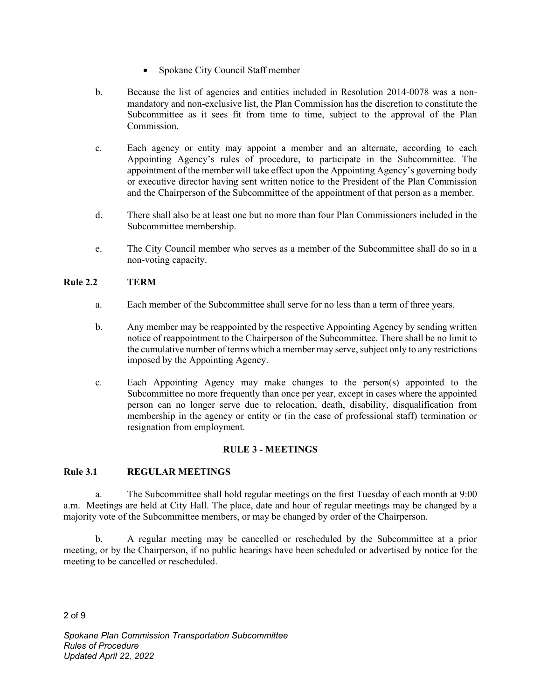- Spokane City Council Staff member
- b. Because the list of agencies and entities included in Resolution 2014-0078 was a nonmandatory and non-exclusive list, the Plan Commission has the discretion to constitute the Subcommittee as it sees fit from time to time, subject to the approval of the Plan Commission.
- c. Each agency or entity may appoint a member and an alternate, according to each Appointing Agency's rules of procedure, to participate in the Subcommittee. The appointment of the member will take effect upon the Appointing Agency's governing body or executive director having sent written notice to the President of the Plan Commission and the Chairperson of the Subcommittee of the appointment of that person as a member.
- d. There shall also be at least one but no more than four Plan Commissioners included in the Subcommittee membership.
- e. The City Council member who serves as a member of the Subcommittee shall do so in a non-voting capacity.

# **Rule 2.2 TERM**

- a. Each member of the Subcommittee shall serve for no less than a term of three years.
- b. Any member may be reappointed by the respective Appointing Agency by sending written notice of reappointment to the Chairperson of the Subcommittee. There shall be no limit to the cumulative number of terms which a member may serve, subject only to any restrictions imposed by the Appointing Agency.
- c. Each Appointing Agency may make changes to the person(s) appointed to the Subcommittee no more frequently than once per year, except in cases where the appointed person can no longer serve due to relocation, death, disability, disqualification from membership in the agency or entity or (in the case of professional staff) termination or resignation from employment.

# **RULE 3 - MEETINGS**

# **Rule 3.1 REGULAR MEETINGS**

a. The Subcommittee shall hold regular meetings on the first Tuesday of each month at 9:00 a.m. Meetings are held at City Hall. The place, date and hour of regular meetings may be changed by a majority vote of the Subcommittee members, or may be changed by order of the Chairperson.

b. A regular meeting may be cancelled or rescheduled by the Subcommittee at a prior meeting, or by the Chairperson, if no public hearings have been scheduled or advertised by notice for the meeting to be cancelled or rescheduled.

2 of 9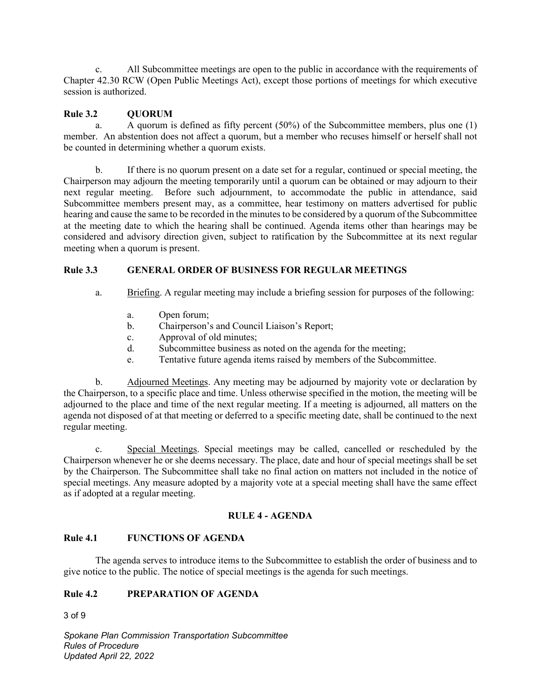c. All Subcommittee meetings are open to the public in accordance with the requirements of Chapter 42.30 RCW (Open Public Meetings Act), except those portions of meetings for which executive session is authorized.

# Rule 3.2 **QUORUM**

a. A quorum is defined as fifty percent (50%) of the Subcommittee members, plus one (1) member. An abstention does not affect a quorum, but a member who recuses himself or herself shall not be counted in determining whether a quorum exists.

b. If there is no quorum present on a date set for a regular, continued or special meeting, the Chairperson may adjourn the meeting temporarily until a quorum can be obtained or may adjourn to their next regular meeting. Before such adjournment, to accommodate the public in attendance, said Subcommittee members present may, as a committee, hear testimony on matters advertised for public hearing and cause the same to be recorded in the minutes to be considered by a quorum of the Subcommittee at the meeting date to which the hearing shall be continued. Agenda items other than hearings may be considered and advisory direction given, subject to ratification by the Subcommittee at its next regular meeting when a quorum is present.

# **Rule 3.3 GENERAL ORDER OF BUSINESS FOR REGULAR MEETINGS**

- a. Briefing. A regular meeting may include a briefing session for purposes of the following:
	- a. Open forum;
	- b. Chairperson's and Council Liaison's Report;
	- c. Approval of old minutes;
	- d. Subcommittee business as noted on the agenda for the meeting;
	- e. Tentative future agenda items raised by members of the Subcommittee.

b. Adjourned Meetings. Any meeting may be adjourned by majority vote or declaration by the Chairperson, to a specific place and time. Unless otherwise specified in the motion, the meeting will be adjourned to the place and time of the next regular meeting. If a meeting is adjourned, all matters on the agenda not disposed of at that meeting or deferred to a specific meeting date, shall be continued to the next regular meeting.

c. Special Meetings. Special meetings may be called, cancelled or rescheduled by the Chairperson whenever he or she deems necessary. The place, date and hour of special meetings shall be set by the Chairperson. The Subcommittee shall take no final action on matters not included in the notice of special meetings. Any measure adopted by a majority vote at a special meeting shall have the same effect as if adopted at a regular meeting.

# **RULE 4 - AGENDA**

# **Rule 4.1 FUNCTIONS OF AGENDA**

The agenda serves to introduce items to the Subcommittee to establish the order of business and to give notice to the public. The notice of special meetings is the agenda for such meetings.

# **Rule 4.2 PREPARATION OF AGENDA**

3 of 9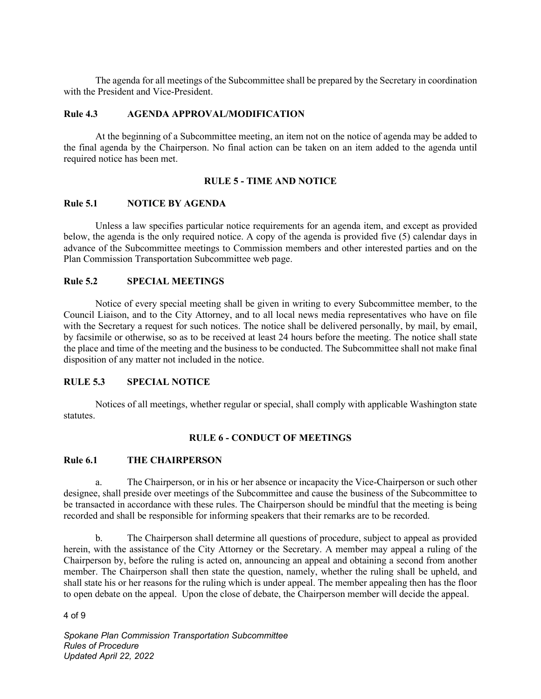The agenda for all meetings of the Subcommittee shall be prepared by the Secretary in coordination with the President and Vice-President.

### **Rule 4.3 AGENDA APPROVAL/MODIFICATION**

At the beginning of a Subcommittee meeting, an item not on the notice of agenda may be added to the final agenda by the Chairperson. No final action can be taken on an item added to the agenda until required notice has been met.

### **RULE 5 - TIME AND NOTICE**

### **Rule 5.1 NOTICE BY AGENDA**

Unless a law specifies particular notice requirements for an agenda item, and except as provided below, the agenda is the only required notice. A copy of the agenda is provided five (5) calendar days in advance of the Subcommittee meetings to Commission members and other interested parties and on the Plan Commission Transportation Subcommittee web page.

# **Rule 5.2 SPECIAL MEETINGS**

Notice of every special meeting shall be given in writing to every Subcommittee member, to the Council Liaison, and to the City Attorney, and to all local news media representatives who have on file with the Secretary a request for such notices. The notice shall be delivered personally, by mail, by email, by facsimile or otherwise, so as to be received at least 24 hours before the meeting. The notice shall state the place and time of the meeting and the business to be conducted. The Subcommittee shall not make final disposition of any matter not included in the notice.

#### **RULE 5.3 SPECIAL NOTICE**

Notices of all meetings, whether regular or special, shall comply with applicable Washington state statutes.

# **RULE 6 - CONDUCT OF MEETINGS**

#### **Rule 6.1 THE CHAIRPERSON**

a. The Chairperson, or in his or her absence or incapacity the Vice-Chairperson or such other designee, shall preside over meetings of the Subcommittee and cause the business of the Subcommittee to be transacted in accordance with these rules. The Chairperson should be mindful that the meeting is being recorded and shall be responsible for informing speakers that their remarks are to be recorded.

b. The Chairperson shall determine all questions of procedure, subject to appeal as provided herein, with the assistance of the City Attorney or the Secretary. A member may appeal a ruling of the Chairperson by, before the ruling is acted on, announcing an appeal and obtaining a second from another member. The Chairperson shall then state the question, namely, whether the ruling shall be upheld, and shall state his or her reasons for the ruling which is under appeal. The member appealing then has the floor to open debate on the appeal. Upon the close of debate, the Chairperson member will decide the appeal.

4 of 9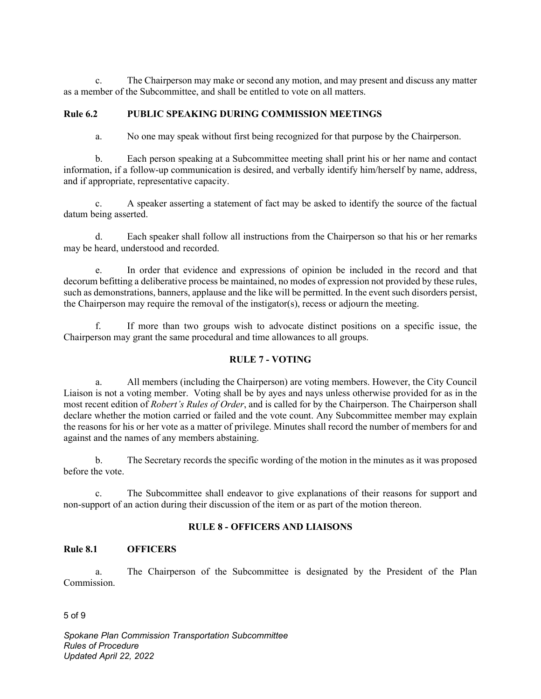c. The Chairperson may make or second any motion, and may present and discuss any matter as a member of the Subcommittee, and shall be entitled to vote on all matters.

# **Rule 6.2 PUBLIC SPEAKING DURING COMMISSION MEETINGS**

a. No one may speak without first being recognized for that purpose by the Chairperson.

b. Each person speaking at a Subcommittee meeting shall print his or her name and contact information, if a follow-up communication is desired, and verbally identify him/herself by name, address, and if appropriate, representative capacity.

c. A speaker asserting a statement of fact may be asked to identify the source of the factual datum being asserted.

d. Each speaker shall follow all instructions from the Chairperson so that his or her remarks may be heard, understood and recorded.

e. In order that evidence and expressions of opinion be included in the record and that decorum befitting a deliberative process be maintained, no modes of expression not provided by these rules, such as demonstrations, banners, applause and the like will be permitted. In the event such disorders persist, the Chairperson may require the removal of the instigator(s), recess or adjourn the meeting.

f. If more than two groups wish to advocate distinct positions on a specific issue, the Chairperson may grant the same procedural and time allowances to all groups.

# **RULE 7 - VOTING**

a. All members (including the Chairperson) are voting members. However, the City Council Liaison is not a voting member. Voting shall be by ayes and nays unless otherwise provided for as in the most recent edition of *Robert's Rules of Order*, and is called for by the Chairperson. The Chairperson shall declare whether the motion carried or failed and the vote count. Any Subcommittee member may explain the reasons for his or her vote as a matter of privilege. Minutes shall record the number of members for and against and the names of any members abstaining.

b. The Secretary records the specific wording of the motion in the minutes as it was proposed before the vote.

c. The Subcommittee shall endeavor to give explanations of their reasons for support and non-support of an action during their discussion of the item or as part of the motion thereon.

# **RULE 8 - OFFICERS AND LIAISONS**

### **Rule 8.1 OFFICERS**

a. The Chairperson of the Subcommittee is designated by the President of the Plan Commission.

5 of 9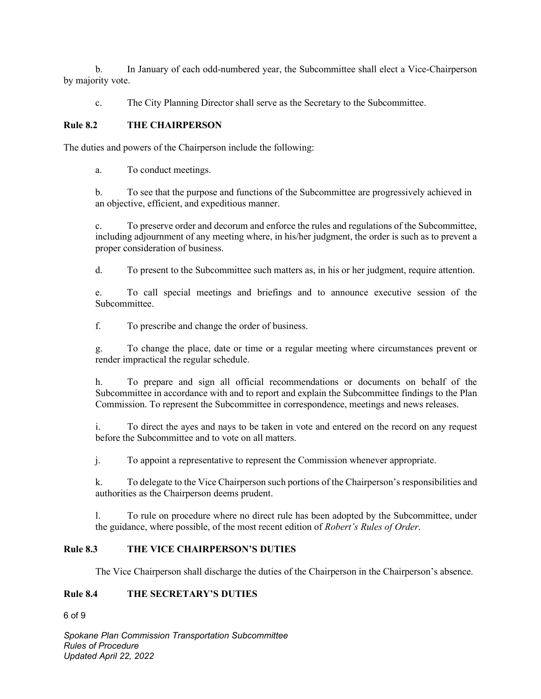b. In January of each odd-numbered year, the Subcommittee shall elect a Vice-Chairperson by majority vote.

c. The City Planning Director shall serve as the Secretary to the Subcommittee.

# **Rule 8.2 THE CHAIRPERSON**

The duties and powers of the Chairperson include the following:

a. To conduct meetings.

b. To see that the purpose and functions of the Subcommittee are progressively achieved in an objective, efficient, and expeditious manner.

c. To preserve order and decorum and enforce the rules and regulations of the Subcommittee, including adjournment of any meeting where, in his/her judgment, the order is such as to prevent a proper consideration of business.

d. To present to the Subcommittee such matters as, in his or her judgment, require attention.

e. To call special meetings and briefings and to announce executive session of the Subcommittee.

f. To prescribe and change the order of business.

g. To change the place, date or time or a regular meeting where circumstances prevent or render impractical the regular schedule.

h. To prepare and sign all official recommendations or documents on behalf of the Subcommittee in accordance with and to report and explain the Subcommittee findings to the Plan Commission. To represent the Subcommittee in correspondence, meetings and news releases.

i. To direct the ayes and nays to be taken in vote and entered on the record on any request before the Subcommittee and to vote on all matters.

j. To appoint a representative to represent the Commission whenever appropriate.

k. To delegate to the Vice Chairperson such portions of the Chairperson's responsibilities and authorities as the Chairperson deems prudent.

l. To rule on procedure where no direct rule has been adopted by the Subcommittee, under the guidance, where possible, of the most recent edition of *Robert's Rules of Order*.

# **Rule 8.3 THE VICE CHAIRPERSON'S DUTIES**

The Vice Chairperson shall discharge the duties of the Chairperson in the Chairperson's absence.

# **Rule 8.4 THE SECRETARY'S DUTIES**

6 of 9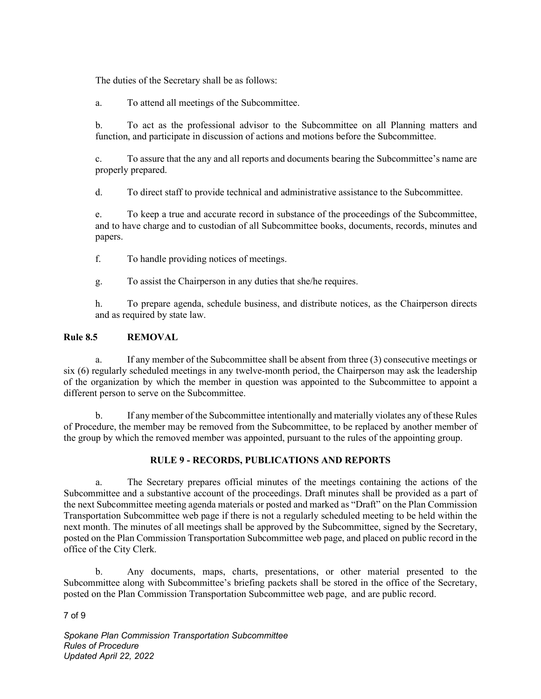The duties of the Secretary shall be as follows:

a. To attend all meetings of the Subcommittee.

b. To act as the professional advisor to the Subcommittee on all Planning matters and function, and participate in discussion of actions and motions before the Subcommittee.

c. To assure that the any and all reports and documents bearing the Subcommittee's name are properly prepared.

d. To direct staff to provide technical and administrative assistance to the Subcommittee.

e. To keep a true and accurate record in substance of the proceedings of the Subcommittee, and to have charge and to custodian of all Subcommittee books, documents, records, minutes and papers.

f. To handle providing notices of meetings.

g. To assist the Chairperson in any duties that she/he requires.

h. To prepare agenda, schedule business, and distribute notices, as the Chairperson directs and as required by state law.

# **Rule 8.5 REMOVAL**

a. If any member of the Subcommittee shall be absent from three (3) consecutive meetings or six (6) regularly scheduled meetings in any twelve-month period, the Chairperson may ask the leadership of the organization by which the member in question was appointed to the Subcommittee to appoint a different person to serve on the Subcommittee.

b. If any member of the Subcommittee intentionally and materially violates any of these Rules of Procedure, the member may be removed from the Subcommittee, to be replaced by another member of the group by which the removed member was appointed, pursuant to the rules of the appointing group.

# **RULE 9 - RECORDS, PUBLICATIONS AND REPORTS**

a. The Secretary prepares official minutes of the meetings containing the actions of the Subcommittee and a substantive account of the proceedings. Draft minutes shall be provided as a part of the next Subcommittee meeting agenda materials or posted and marked as "Draft" on the Plan Commission Transportation Subcommittee web page if there is not a regularly scheduled meeting to be held within the next month. The minutes of all meetings shall be approved by the Subcommittee, signed by the Secretary, posted on the Plan Commission Transportation Subcommittee web page, and placed on public record in the office of the City Clerk.

b. Any documents, maps, charts, presentations, or other material presented to the Subcommittee along with Subcommittee's briefing packets shall be stored in the office of the Secretary, posted on the Plan Commission Transportation Subcommittee web page, and are public record.

7 of 9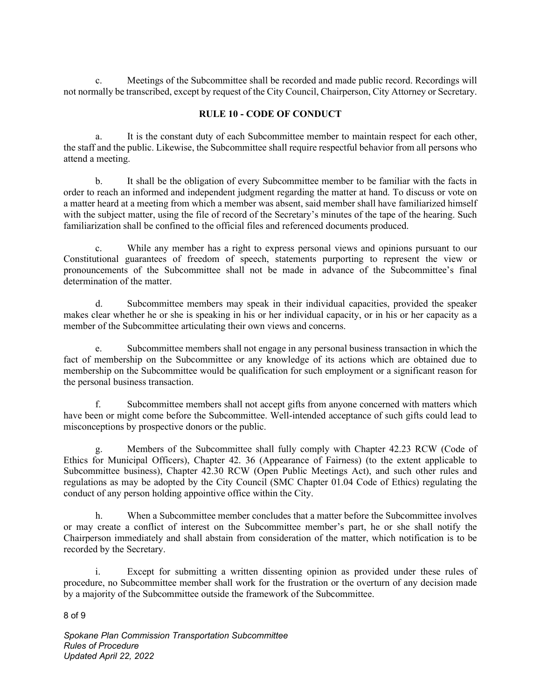c. Meetings of the Subcommittee shall be recorded and made public record. Recordings will not normally be transcribed, except by request of the City Council, Chairperson, City Attorney or Secretary.

# **RULE 10 - CODE OF CONDUCT**

a. It is the constant duty of each Subcommittee member to maintain respect for each other, the staff and the public. Likewise, the Subcommittee shall require respectful behavior from all persons who attend a meeting.

b. It shall be the obligation of every Subcommittee member to be familiar with the facts in order to reach an informed and independent judgment regarding the matter at hand. To discuss or vote on a matter heard at a meeting from which a member was absent, said member shall have familiarized himself with the subject matter, using the file of record of the Secretary's minutes of the tape of the hearing. Such familiarization shall be confined to the official files and referenced documents produced.

c. While any member has a right to express personal views and opinions pursuant to our Constitutional guarantees of freedom of speech, statements purporting to represent the view or pronouncements of the Subcommittee shall not be made in advance of the Subcommittee's final determination of the matter.

d. Subcommittee members may speak in their individual capacities, provided the speaker makes clear whether he or she is speaking in his or her individual capacity, or in his or her capacity as a member of the Subcommittee articulating their own views and concerns.

e. Subcommittee members shall not engage in any personal business transaction in which the fact of membership on the Subcommittee or any knowledge of its actions which are obtained due to membership on the Subcommittee would be qualification for such employment or a significant reason for the personal business transaction.

f. Subcommittee members shall not accept gifts from anyone concerned with matters which have been or might come before the Subcommittee. Well-intended acceptance of such gifts could lead to misconceptions by prospective donors or the public.

g. Members of the Subcommittee shall fully comply with Chapter 42.23 RCW (Code of Ethics for Municipal Officers), Chapter 42. 36 (Appearance of Fairness) (to the extent applicable to Subcommittee business), Chapter 42.30 RCW (Open Public Meetings Act), and such other rules and regulations as may be adopted by the City Council (SMC Chapter 01.04 Code of Ethics) regulating the conduct of any person holding appointive office within the City.

h. When a Subcommittee member concludes that a matter before the Subcommittee involves or may create a conflict of interest on the Subcommittee member's part, he or she shall notify the Chairperson immediately and shall abstain from consideration of the matter, which notification is to be recorded by the Secretary.

i. Except for submitting a written dissenting opinion as provided under these rules of procedure, no Subcommittee member shall work for the frustration or the overturn of any decision made by a majority of the Subcommittee outside the framework of the Subcommittee.

8 of 9